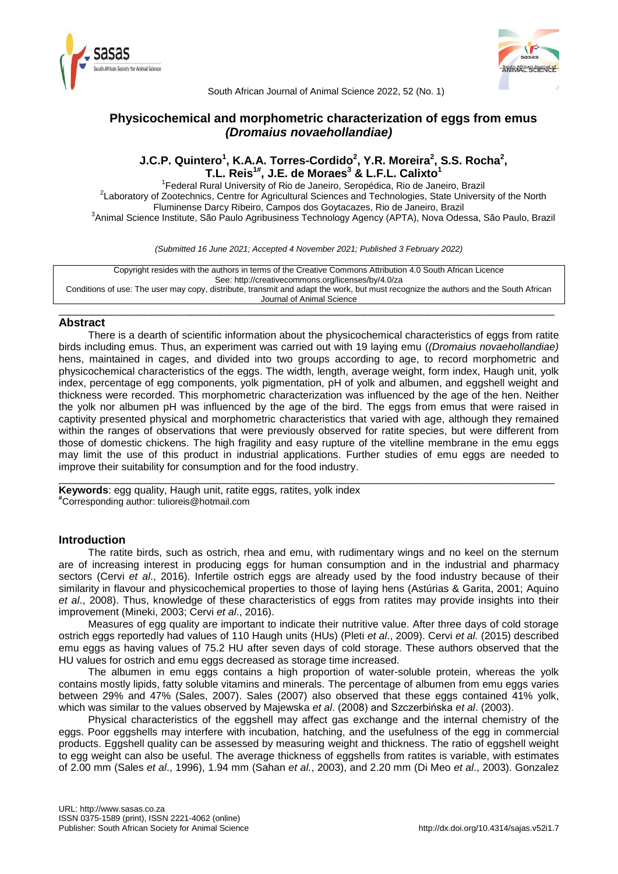



South African Journal of Animal Science 2022, 52 (No. 1)

# **Physicochemical and morphometric characterization of eggs from emus**  *(Dromaius novaehollandiae)*

# **J.C.P. Quintero<sup>1</sup> , K.A.A. Torres-Cordido<sup>2</sup> , Y.R. Moreira<sup>2</sup> , S.S. Rocha<sup>2</sup> , T.L. Reis 1# , J.E. de Moraes<sup>3</sup> & L.F.L. Calixto<sup>1</sup>**

<sup>1</sup> Federal Rural University of Rio de Janeiro, Seropédica, Rio de Janeiro, Brazil <sup>2</sup>Laboratory of Zootechnics, Centre for Agricultural Sciences and Technologies, State University of the North Fluminense Darcy Ribeiro, Campos dos Goytacazes, Rio de Janeiro, Brazil <sup>3</sup> Animal Science Institute, São Paulo Agribusiness Technology Agency (APTA), Nova Odessa, São Paulo, Brazil

*(Submitted 16 June 2021; Accepted 4 November 2021; Published 3 February 2022)*

Copyright resides with the authors in terms of the Creative Commons Attribution 4.0 South African Licence See: http://creativecommons.org/licenses/by/4.0/za Conditions of use: The user may copy, distribute, transmit and adapt the work, but must recognize the authors and the South African Journal of Animal Science

\_\_\_\_\_\_\_\_\_\_\_\_\_\_\_\_\_\_\_\_\_\_\_\_\_\_\_\_\_\_\_\_\_\_\_\_\_\_\_\_\_\_\_\_\_\_\_\_\_\_\_\_\_\_\_\_\_\_\_\_\_\_\_\_\_\_\_\_\_\_\_\_\_\_\_\_\_\_\_\_\_\_\_\_\_\_

# **Abstract**

There is a dearth of scientific information about the physicochemical characteristics of eggs from ratite birds including emus. Thus, an experiment was carried out with 19 laying emu (*(Dromaius novaehollandiae)* hens, maintained in cages, and divided into two groups according to age, to record morphometric and physicochemical characteristics of the eggs. The width, length, average weight, form index, Haugh unit, yolk index, percentage of egg components, yolk pigmentation, pH of yolk and albumen, and eggshell weight and thickness were recorded. This morphometric characterization was influenced by the age of the hen. Neither the yolk nor albumen pH was influenced by the age of the bird. The eggs from emus that were raised in captivity presented physical and morphometric characteristics that varied with age, although they remained within the ranges of observations that were previously observed for ratite species, but were different from those of domestic chickens. The high fragility and easy rupture of the vitelline membrane in the emu eggs may limit the use of this product in industrial applications. Further studies of emu eggs are needed to improve their suitability for consumption and for the food industry.

\_\_\_\_\_\_\_\_\_\_\_\_\_\_\_\_\_\_\_\_\_\_\_\_\_\_\_\_\_\_\_\_\_\_\_\_\_\_\_\_\_\_\_\_\_\_\_\_\_\_\_\_\_\_\_\_\_\_\_\_\_\_\_\_\_\_\_\_\_\_\_\_\_\_\_\_\_\_\_\_\_\_\_\_\_\_

**Keywords**: egg quality, Haugh unit, ratite eggs, ratites, yolk index **#**Corresponding author: tulioreis@hotmail.com

# **Introduction**

The ratite birds, such as ostrich, rhea and emu, with rudimentary wings and no keel on the sternum are of increasing interest in producing eggs for human consumption and in the industrial and pharmacy sectors (Cervi *et al*., 2016). Infertile ostrich eggs are already used by the food industry because of their similarity in flavour and physicochemical properties to those of laying hens (Astúrias & Garita, 2001; Aquino *et al*., 2008). Thus, knowledge of these characteristics of eggs from ratites may provide insights into their improvement (Mineki, 2003; Cervi *et al*., 2016).

Measures of egg quality are important to indicate their nutritive value. After three days of cold storage ostrich eggs reportedly had values of 110 Haugh units (HUs) (Pleti *et al*., 2009). Cervi *et al.* (2015) described emu eggs as having values of 75.2 HU after seven days of cold storage. These authors observed that the HU values for ostrich and emu eggs decreased as storage time increased.

The albumen in emu eggs contains a high proportion of water-soluble protein, whereas the yolk contains mostly lipids, fatty soluble vitamins and minerals. The percentage of albumen from emu eggs varies between 29% and 47% (Sales, 2007). Sales (2007) also observed that these eggs contained 41% yolk, which was similar to the values observed by Majewska *et al*. (2008) and Szczerbińska *et al*. (2003).

Physical characteristics of the eggshell may affect gas exchange and the internal chemistry of the eggs. Poor eggshells may interfere with incubation, hatching, and the usefulness of the egg in commercial products. Eggshell quality can be assessed by measuring weight and thickness. The ratio of eggshell weight to egg weight can also be useful. The average thickness of eggshells from ratites is variable, with estimates of 2.00 mm (Sales *et al*., 1996), 1.94 mm (Sahan *et al.*, 2003), and 2.20 mm (Di Meo *et al*., 2003). Gonzalez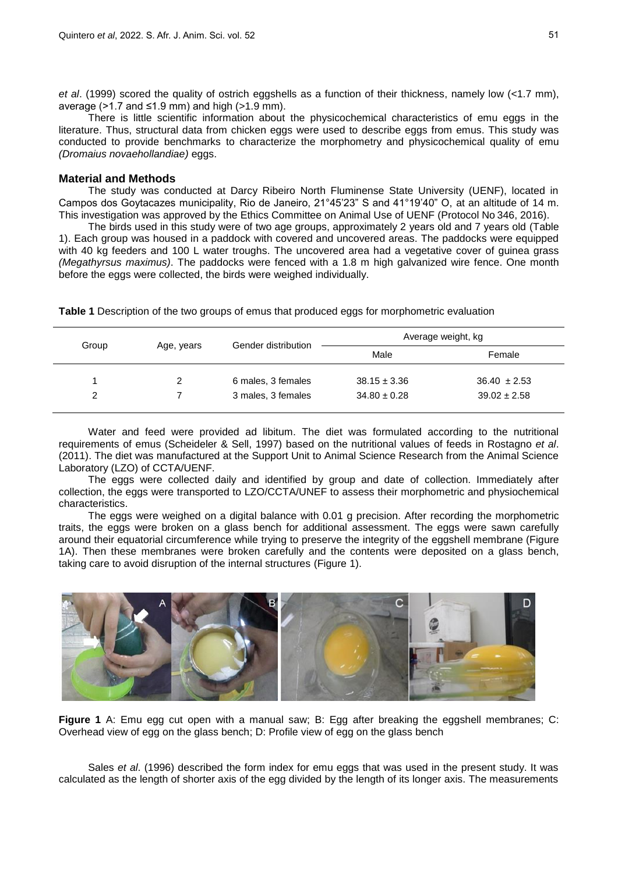*et al*. (1999) scored the quality of ostrich eggshells as a function of their thickness, namely low (<1.7 mm), average ( $>1.7$  and  $\leq 1.9$  mm) and high ( $>1.9$  mm).

There is little scientific information about the physicochemical characteristics of emu eggs in the literature. Thus, structural data from chicken eggs were used to describe eggs from emus. This study was conducted to provide benchmarks to characterize the morphometry and physicochemical quality of emu *(Dromaius novaehollandiae)* eggs.

## **Material and Methods**

The study was conducted at Darcy Ribeiro North Fluminense State University (UENF), located in Campos dos Goytacazes municipality, Rio de Janeiro, 21°45'23" S and 41°19'40" O, at an altitude of 14 m. This investigation was approved by the Ethics Committee on Animal Use of UENF (Protocol No 346, 2016).

The birds used in this study were of two age groups, approximately 2 years old and 7 years old (Table 1). Each group was housed in a paddock with covered and uncovered areas. The paddocks were equipped with 40 kg feeders and 100 L water troughs. The uncovered area had a vegetative cover of guinea grass *(Megathyrsus maximus)*. The paddocks were fenced with a 1.8 m high galvanized wire fence. One month before the eggs were collected, the birds were weighed individually.

**Table 1** Description of the two groups of emus that produced eggs for morphometric evaluation

|               |            | Gender distribution | Average weight, kg                   |                  |  |
|---------------|------------|---------------------|--------------------------------------|------------------|--|
| Group         | Age, years |                     | Male<br>Female                       |                  |  |
|               |            | 6 males, 3 females  | $38.15 \pm 3.36$                     | $36.40 \pm 2.53$ |  |
| $\mathcal{P}$ |            | 3 males, 3 females  | $39.02 \pm 2.58$<br>$34.80 \pm 0.28$ |                  |  |

Water and feed were provided ad libitum. The diet was formulated according to the nutritional requirements of emus (Scheideler & Sell, 1997) based on the nutritional values of feeds in Rostagno *et al*. (2011). The diet was manufactured at the Support Unit to Animal Science Research from the Animal Science Laboratory (LZO) of CCTA/UENF.

The eggs were collected daily and identified by group and date of collection. Immediately after collection, the eggs were transported to LZO/CCTA/UNEF to assess their morphometric and physiochemical characteristics.

The eggs were weighed on a digital balance with 0.01 g precision. After recording the morphometric traits, the eggs were broken on a glass bench for additional assessment. The eggs were sawn carefully around their equatorial circumference while trying to preserve the integrity of the eggshell membrane (Figure 1A). Then these membranes were broken carefully and the contents were deposited on a glass bench, taking care to avoid disruption of the internal structures (Figure 1).



**Figure 1** A: Emu egg cut open with a manual saw; B: Egg after breaking the eggshell membranes; C: Overhead view of egg on the glass bench; D: Profile view of egg on the glass bench

Sales *et al*. (1996) described the form index for emu eggs that was used in the present study. It was calculated as the length of shorter axis of the egg divided by the length of its longer axis. The measurements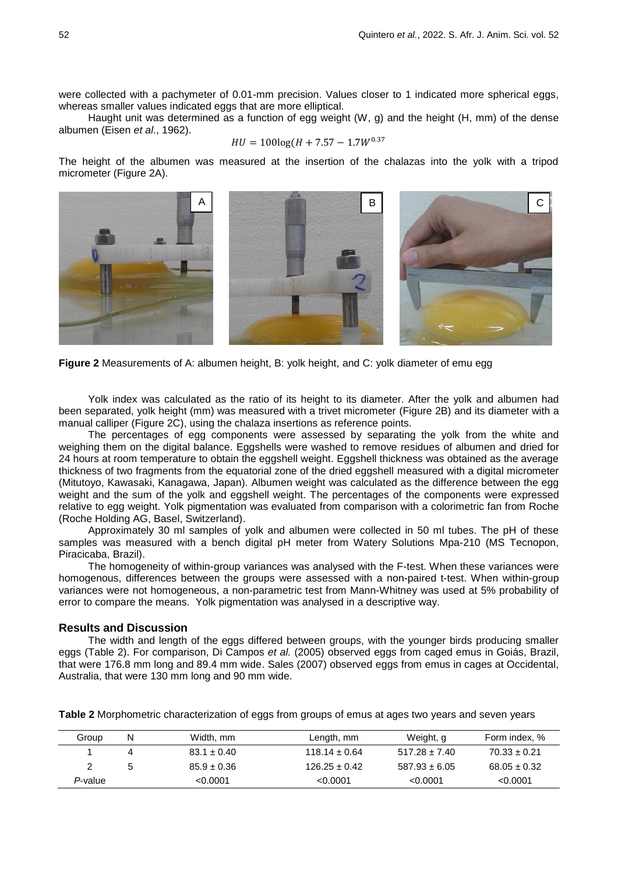were collected with a pachymeter of 0.01-mm precision. Values closer to 1 indicated more spherical eggs, whereas smaller values indicated eggs that are more elliptical.

Haught unit was determined as a function of egg weight (W, g) and the height (H, mm) of the dense albumen (Eisen *et al*., 1962).

$$
HU = 100\log(H + 7.57 - 1.7W^{0.3})
$$

The height of the albumen was measured at the insertion of the chalazas into the yolk with a tripod micrometer (Figure 2A).



**Figure 2** Measurements of A: albumen height, B: yolk height, and C: yolk diameter of emu egg

Yolk index was calculated as the ratio of its height to its diameter. After the yolk and albumen had been separated, yolk height (mm) was measured with a trivet micrometer (Figure 2B) and its diameter with a manual calliper (Figure 2C), using the chalaza insertions as reference points.

The percentages of egg components were assessed by separating the yolk from the white and weighing them on the digital balance. Eggshells were washed to remove residues of albumen and dried for 24 hours at room temperature to obtain the eggshell weight. Eggshell thickness was obtained as the average thickness of two fragments from the equatorial zone of the dried eggshell measured with a digital micrometer (Mitutoyo, Kawasaki, Kanagawa, Japan). Albumen weight was calculated as the difference between the egg weight and the sum of the yolk and eggshell weight. The percentages of the components were expressed relative to egg weight. Yolk pigmentation was evaluated from comparison with a colorimetric fan from Roche (Roche Holding AG, Basel, Switzerland).

Approximately 30 ml samples of yolk and albumen were collected in 50 ml tubes. The pH of these samples was measured with a bench digital pH meter from Watery Solutions Mpa-210 (MS Tecnopon, Piracicaba, Brazil).

The homogeneity of within-group variances was analysed with the F-test. When these variances were homogenous, differences between the groups were assessed with a non-paired t-test. When within-group variances were not homogeneous, a non-parametric test from Mann-Whitney was used at 5% probability of error to compare the means. Yolk pigmentation was analysed in a descriptive way.

## **Results and Discussion**

The width and length of the eggs differed between groups, with the younger birds producing smaller eggs (Table 2). For comparison, Di Campos *et al.* (2005) observed eggs from caged emus in Goiás, Brazil, that were 176.8 mm long and 89.4 mm wide. Sales (2007) observed eggs from emus in cages at Occidental, Australia, that were 130 mm long and 90 mm wide.

**Table 2** Morphometric characterization of eggs from groups of emus at ages two years and seven years

| Group   | Width, mm       | Length, mm        | Weight, g         | Form index, %    |
|---------|-----------------|-------------------|-------------------|------------------|
|         | $83.1 \pm 0.40$ | $118.14 \pm 0.64$ | $517.28 \pm 7.40$ | $70.33 \pm 0.21$ |
|         | $85.9 \pm 0.36$ | $126.25 \pm 0.42$ | $587.93 \pm 6.05$ | $68.05 \pm 0.32$ |
| P-value | < 0.0001        | < 0.0001          | < 0.0001          | < 0.0001         |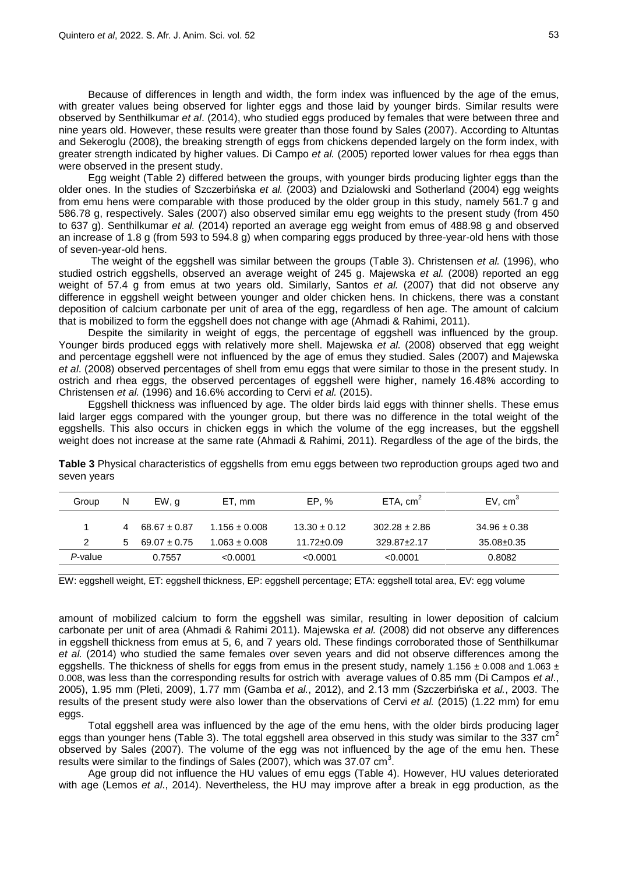Because of differences in length and width, the form index was influenced by the age of the emus, with greater values being observed for lighter eggs and those laid by younger birds. Similar results were observed by Senthilkumar *et al*. (2014), who studied eggs produced by females that were between three and nine years old. However, these results were greater than those found by Sales (2007). According to Altuntas and Sekeroglu (2008), the breaking strength of eggs from chickens depended largely on the form index, with greater strength indicated by higher values. Di Campo *et al.* (2005) reported lower values for rhea eggs than were observed in the present study.

Egg weight (Table 2) differed between the groups, with younger birds producing lighter eggs than the older ones. In the studies of Szczerbińska *et al.* (2003) and Dzialowski and Sotherland (2004) egg weights from emu hens were comparable with those produced by the older group in this study, namely 561.7 g and 586.78 g, respectively. Sales (2007) also observed similar emu egg weights to the present study (from 450 to 637 g). Senthilkumar *et al.* (2014) reported an average egg weight from emus of 488.98 g and observed an increase of 1.8 g (from 593 to 594.8 g) when comparing eggs produced by three-year-old hens with those of seven-year-old hens.

The weight of the eggshell was similar between the groups (Table 3). Christensen *et al.* (1996), who studied ostrich eggshells, observed an average weight of 245 g. Majewska *et al.* (2008) reported an egg weight of 57.4 g from emus at two years old. Similarly, Santos *et al.* (2007) that did not observe any difference in eggshell weight between younger and older chicken hens. In chickens, there was a constant deposition of calcium carbonate per unit of area of the egg, regardless of hen age. The amount of calcium that is mobilized to form the eggshell does not change with age (Ahmadi & Rahimi, 2011).

Despite the similarity in weight of eggs, the percentage of eggshell was influenced by the group. Younger birds produced eggs with relatively more shell. Majewska *et al.* (2008) observed that egg weight and percentage eggshell were not influenced by the age of emus they studied. Sales (2007) and Majewska *et al*. (2008) observed percentages of shell from emu eggs that were similar to those in the present study. In ostrich and rhea eggs, the observed percentages of eggshell were higher, namely 16.48% according to Christensen *et al.* (1996) and 16.6% according to Cervi *et al.* (2015).

Eggshell thickness was influenced by age. The older birds laid eggs with thinner shells. These emus laid larger eggs compared with the younger group, but there was no difference in the total weight of the eggshells. This also occurs in chicken eggs in which the volume of the egg increases, but the eggshell weight does not increase at the same rate (Ahmadi & Rahimi, 2011). Regardless of the age of the birds, the

| Group         | N | EW, q            | ET. mm            | EP. %            | ETA, cm <sup>2</sup> | EV, cm <sup>3</sup> |
|---------------|---|------------------|-------------------|------------------|----------------------|---------------------|
|               | 4 | $68.67 \pm 0.87$ | $1.156 \pm 0.008$ | $13.30 \pm 0.12$ | $302.28 \pm 2.86$    | $34.96 \pm 0.38$    |
| $\mathcal{P}$ | 5 | $69.07 \pm 0.75$ | $1.063 \pm 0.008$ | $11.72 \pm 0.09$ | $329.87 \pm 2.17$    | $35.08 \pm 0.35$    |
| P-value       |   | 0.7557           | < 0.0001          | < 0.0001         | < 0.0001             | 0.8082              |

**Table 3** Physical characteristics of eggshells from emu eggs between two reproduction groups aged two and seven years

EW: eggshell weight, ET: eggshell thickness, EP: eggshell percentage; ETA: eggshell total area, EV: egg volume

amount of mobilized calcium to form the eggshell was similar, resulting in lower deposition of calcium carbonate per unit of area (Ahmadi & Rahimi 2011). Majewska *et al.* (2008) did not observe any differences in eggshell thickness from emus at 5, 6, and 7 years old. These findings corroborated those of Senthilkumar *et al.* (2014) who studied the same females over seven years and did not observe differences among the eggshells. The thickness of shells for eggs from emus in the present study, namely 1.156  $\pm$  0.008 and 1.063  $\pm$ 0.008, was less than the corresponding results for ostrich with average values of 0.85 mm (Di Campos *et al*., 2005), 1.95 mm (Pleti, 2009), 1.77 mm (Gamba *et al.*, 2012), and 2.13 mm (Szczerbińska *et al.*, 2003. The results of the present study were also lower than the observations of Cervi *et al.* (2015) (1.22 mm) for emu eggs.

Total eggshell area was influenced by the age of the emu hens, with the older birds producing lager eggs than younger hens (Table 3). The total eggshell area observed in this study was similar to the 337  $\text{cm}^2$ observed by Sales (2007). The volume of the egg was not influenced by the age of the emu hen. These results were similar to the findings of Sales (2007), which was 37.07  $\text{cm}^3$ .

Age group did not influence the HU values of emu eggs (Table 4). However, HU values deteriorated with age (Lemos *et al*., 2014). Nevertheless, the HU may improve after a break in egg production, as the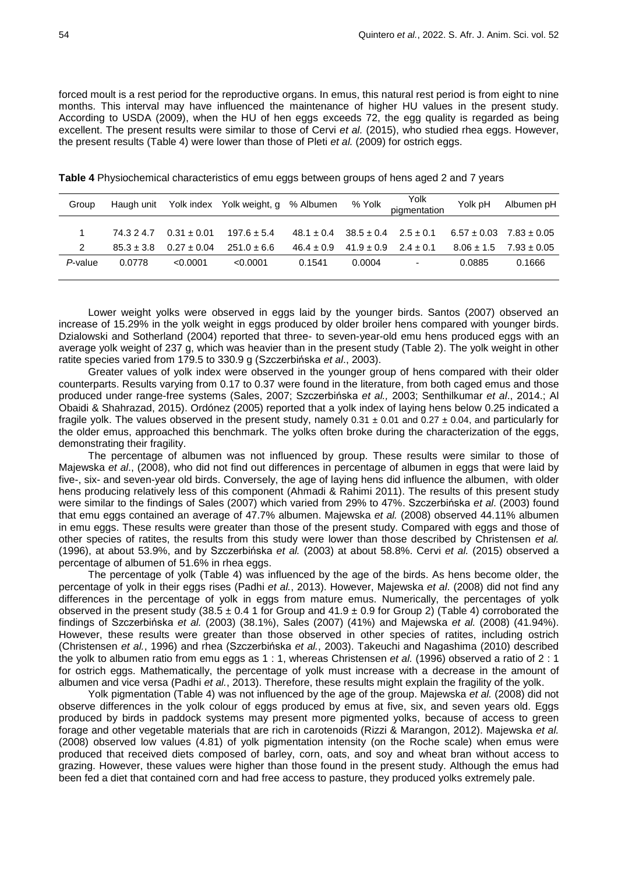forced moult is a rest period for the reproductive organs. In emus, this natural rest period is from eight to nine months. This interval may have influenced the maintenance of higher HU values in the present study. According to USDA (2009), when the HU of hen eggs exceeds 72, the egg quality is regarded as being excellent. The present results were similar to those of Cervi *et al.* (2015), who studied rhea eggs. However, the present results (Table 4) were lower than those of Pleti *et al.* (2009) for ostrich eggs.

| Group   |                |                 | Haugh unit Yolk index Yolk weight, g % Albumen |                                             |        | <sup>Yolk</sup> Pigmentation | Yolk pH | Albumen pH                      |
|---------|----------------|-----------------|------------------------------------------------|---------------------------------------------|--------|------------------------------|---------|---------------------------------|
|         |                |                 |                                                |                                             |        |                              |         |                                 |
|         | 74.3 2 4.7     | $0.31 \pm 0.01$ | $197.6 \pm 5.4$                                | $48.1 \pm 0.4$ $38.5 \pm 0.4$ $2.5 \pm 0.1$ |        |                              |         | $6.57 \pm 0.03$ $7.83 \pm 0.05$ |
|         | $85.3 \pm 3.8$ | $0.27 \pm 0.04$ | $251.0 \pm 6.6$                                | $46.4 \pm 0.9$ $41.9 \pm 0.9$ $2.4 \pm 0.1$ |        |                              |         | $8.06 \pm 1.5$ $7.93 \pm 0.05$  |
| P-value | 0.0778         | < 0.0001        | < 0.0001                                       | 0.1541                                      | 0.0004 | $\overline{\phantom{a}}$     | 0.0885  | 0.1666                          |

**Table 4** Physiochemical characteristics of emu eggs between groups of hens aged 2 and 7 years

Lower weight yolks were observed in eggs laid by the younger birds. Santos (2007) observed an increase of 15.29% in the yolk weight in eggs produced by older broiler hens compared with younger birds. Dzialowski and Sotherland (2004) reported that three- to seven-year-old emu hens produced eggs with an average yolk weight of 237 g, which was heavier than in the present study (Table 2). The yolk weight in other ratite species varied from 179.5 to 330.9 g (Szczerbińska *et al*., 2003).

Greater values of yolk index were observed in the younger group of hens compared with their older counterparts. Results varying from 0.17 to 0.37 were found in the literature, from both caged emus and those produced under range-free systems (Sales, 2007; Szczerbińska *et al.,* 2003; Senthilkumar *et al*., 2014.; Al Obaidi & Shahrazad, 2015). Ordónez (2005) reported that a yolk index of laying hens below 0.25 indicated a fragile yolk. The values observed in the present study, namely  $0.31 \pm 0.01$  and  $0.27 \pm 0.04$ , and particularly for the older emus, approached this benchmark. The yolks often broke during the characterization of the eggs, demonstrating their fragility.

The percentage of albumen was not influenced by group. These results were similar to those of Majewska *et al*., (2008), who did not find out differences in percentage of albumen in eggs that were laid by five-, six- and seven-year old birds. Conversely, the age of laying hens did influence the albumen, with older hens producing relatively less of this component (Ahmadi & Rahimi 2011). The results of this present study were similar to the findings of Sales (2007) which varied from 29% to 47%. Szczerbińska *et al*. (2003) found that emu eggs contained an average of 47.7% albumen. Majewska *et al.* (2008) observed 44.11% albumen in emu eggs. These results were greater than those of the present study. Compared with eggs and those of other species of ratites, the results from this study were lower than those described by Christensen *et al.*  (1996), at about 53.9%, and by Szczerbińska *et al.* (2003) at about 58.8%. Cervi *et al.* (2015) observed a percentage of albumen of 51.6% in rhea eggs.

The percentage of yolk (Table 4) was influenced by the age of the birds. As hens become older, the percentage of yolk in their eggs rises (Padhi *et al.*, 2013). However, Majewska *et al*. (2008) did not find any differences in the percentage of yolk in eggs from mature emus. Numerically, the percentages of yolk observed in the present study (38.5  $\pm$  0.4 1 for Group and 41.9  $\pm$  0.9 for Group 2) (Table 4) corroborated the findings of Szczerbińska *et al.* (2003) (38.1%), Sales (2007) (41%) and Majewska *et al.* (2008) (41.94%). However, these results were greater than those observed in other species of ratites, including ostrich (Christensen *et al.*, 1996) and rhea (Szczerbińska *et al.*, 2003). Takeuchi and Nagashima (2010) described the yolk to albumen ratio from emu eggs as 1 : 1, whereas Christensen *et al.* (1996) observed a ratio of 2 : 1 for ostrich eggs. Mathematically, the percentage of yolk must increase with a decrease in the amount of albumen and vice versa (Padhi *et al.*, 2013). Therefore, these results might explain the fragility of the yolk.

Yolk pigmentation (Table 4) was not influenced by the age of the group. Majewska *et al.* (2008) did not observe differences in the yolk colour of eggs produced by emus at five, six, and seven years old. Eggs produced by birds in paddock systems may present more pigmented yolks, because of access to green forage and other vegetable materials that are rich in carotenoids (Rizzi & Marangon, 2012). Majewska *et al.* (2008) observed low values (4.81) of yolk pigmentation intensity (on the Roche scale) when emus were produced that received diets composed of barley, corn, oats, and soy and wheat bran without access to grazing. However, these values were higher than those found in the present study. Although the emus had been fed a diet that contained corn and had free access to pasture, they produced yolks extremely pale.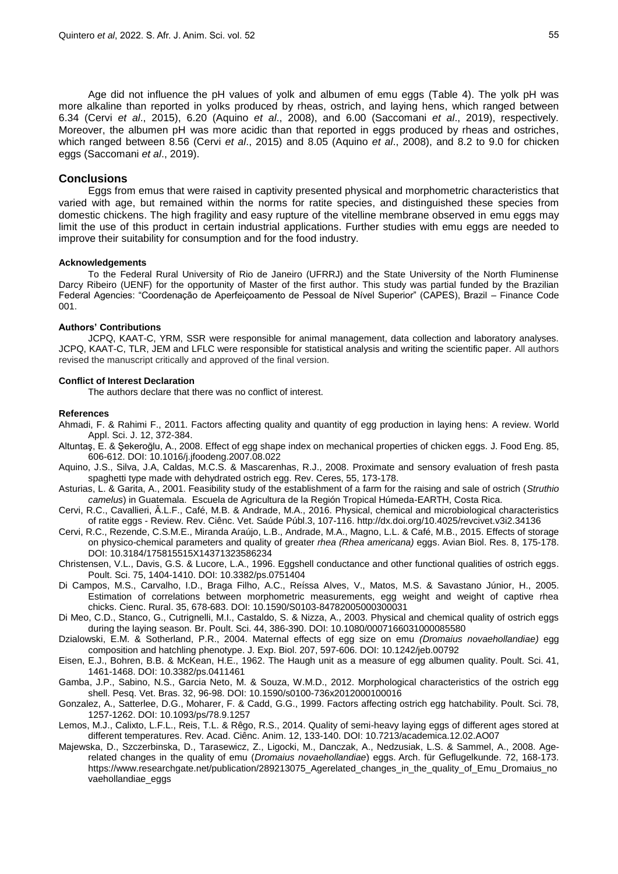Age did not influence the pH values of yolk and albumen of emu eggs (Table 4). The yolk pH was more alkaline than reported in yolks produced by rheas, ostrich, and laying hens, which ranged between 6.34 (Cervi *et al*., 2015), 6.20 (Aquino *et al*., 2008), and 6.00 (Saccomani *et al*., 2019), respectively. Moreover, the albumen pH was more acidic than that reported in eggs produced by rheas and ostriches, which ranged between 8.56 (Cervi *et al*., 2015) and 8.05 (Aquino *et al*., 2008), and 8.2 to 9.0 for chicken eggs (Saccomani *et al*., 2019).

## **Conclusions**

Eggs from emus that were raised in captivity presented physical and morphometric characteristics that varied with age, but remained within the norms for ratite species, and distinguished these species from domestic chickens. The high fragility and easy rupture of the vitelline membrane observed in emu eggs may limit the use of this product in certain industrial applications. Further studies with emu eggs are needed to improve their suitability for consumption and for the food industry.

#### **Acknowledgements**

To the Federal Rural University of Rio de Janeiro (UFRRJ) and the State University of the North Fluminense Darcy Ribeiro (UENF) for the opportunity of Master of the first author. This study was partial funded by the Brazilian Federal Agencies: "Coordenação de Aperfeiçoamento de Pessoal de Nível Superior" (CAPES), Brazil – Finance Code 001.

### **Authors' Contributions**

JCPQ, KAAT-C, YRM, SSR were responsible for animal management, data collection and laboratory analyses. JCPQ, KAAT-C, TLR, JEM and LFLC were responsible for statistical analysis and writing the scientific paper. All authors revised the manuscript critically and approved of the final version.

#### **Conflict of Interest Declaration**

The authors declare that there was no conflict of interest.

### **References**

Ahmadi, F. & Rahimi F., 2011. Factors affecting quality and quantity of egg production in laying hens: A review. World Appl. Sci. J. 12, 372-384.

- Altuntaş, E. & Şekeroğlu, A., 2008. Effect of egg shape index on mechanical properties of chicken eggs. J. Food Eng. 85, 606-612. DOI: 10.1016/j.jfoodeng.2007.08.022
- Aquino, J.S., Silva, J.A, Caldas, M.C.S. & Mascarenhas, R.J., 2008. Proximate and sensory evaluation of fresh pasta spaghetti type made with dehydrated ostrich egg. Rev. Ceres, 55, 173-178.
- Asturias, L. & Garita, A., 2001. Feasibility study of the establishment of a farm for the raising and sale of ostrich (*Struthio camelus*) in Guatemala. Escuela de Agricultura de la Región Tropical Húmeda-EARTH, Costa Rica.
- Cervi, R.C., Cavallieri, Â.L.F., Café, M.B. & Andrade, M.A., 2016. Physical, chemical and microbiological characteristics of ratite eggs - Review. Rev. Ciênc. Vet. Saúde Públ.3, 107-116. http://dx.doi.org/10.4025/revcivet.v3i2.34136
- Cervi, R.C., Rezende, C.S.M.E., Miranda Araújo, L.B., Andrade, M.A., Magno, L.L. & Café, M.B., 2015. Effects of storage on physico-chemical parameters and quality of greater *rhea (Rhea americana)* eggs. Avian Biol. Res. 8, 175-178. DOI: 10.3184/175815515X14371323586234
- Christensen, V.L., Davis, G.S. & Lucore, L.A., 1996. Eggshell conductance and other functional qualities of ostrich eggs. Poult. Sci. 75, 1404-1410. DOI: 10.3382/ps.0751404
- Di Campos, M.S., Carvalho, I.D., Braga Filho, A.C., Reíssa Alves, V., Matos, M.S. & Savastano Júnior, H., 2005. Estimation of correlations between morphometric measurements, egg weight and weight of captive rhea chicks. Cienc. Rural. 35, 678-683. DOI: 10.1590/S0103-84782005000300031
- Di Meo, C.D., Stanco, G., Cutrignelli, M.I., Castaldo, S. & Nizza, A., 2003. Physical and chemical quality of ostrich eggs during the laying season. Br. Poult. Sci. 44, 386-390. DOI: 10.1080/0007166031000085580
- Dzialowski, E.M. & Sotherland, P.R., 2004. Maternal effects of egg size on emu *(Dromaius novaehollandiae)* egg composition and hatchling phenotype. J. Exp. Biol. 207, 597-606. DOI: 10.1242/jeb.00792

Eisen, E.J., Bohren, B.B. & McKean, H.E., 1962. The Haugh unit as a measure of egg albumen quality. Poult. Sci. 41, 1461-1468. DOI: 10.3382/ps.0411461

Gamba, J.P., Sabino, N.S., Garcia Neto, M. & Souza, W.M.D., 2012. Morphological characteristics of the ostrich egg shell. Pesq. Vet. Bras. 32, 96-98. DOI: 10.1590/s0100-736x2012000100016

Gonzalez, A., Satterlee, D.G., Moharer, F. & Cadd, G.G., 1999. Factors affecting ostrich egg hatchability. Poult. Sci. 78, 1257-1262. DOI: 10.1093/ps/78.9.1257

- Lemos, M.J., Calixto, L.F.L., Reis, T.L. & Rêgo, R.S., 2014. Quality of semi-heavy laying eggs of different ages stored at different temperatures. Rev. Acad. Ciênc. Anim. 12, 133-140. DOI: 10.7213/academica.12.02.AO07
- Majewska, D., Szczerbinska, D., Tarasewicz, Z., Ligocki, M., Danczak, A., Nedzusiak, L.S. & Sammel, A., 2008. Agerelated changes in the quality of emu (*Dromaius novaehollandiae*) eggs. Arch. für Geflugelkunde. 72, 168-173. https://www.researchgate.net/publication/289213075\_Agerelated\_changes\_in\_the\_quality\_of\_Emu\_Dromaius\_no vaehollandiae\_eggs